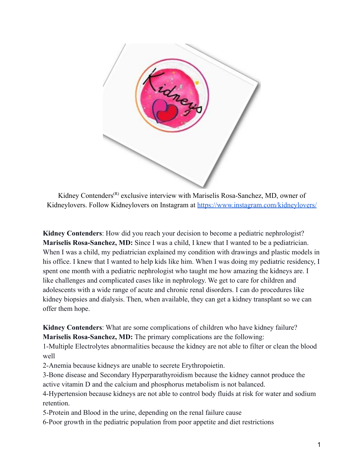

Kidney Contenders<sup> $(R)$ </sup> exclusive interview with Mariselis Rosa-Sanchez, MD, owner of Kidneylovers. Follow Kidneylovers on Instagram at <https://www.instagram.com/kidneylovers/>

**Kidney Contenders**: How did you reach your decision to become a pediatric nephrologist? **Mariselis Rosa-Sanchez, MD:** Since I was a child, I knew that I wanted to be a pediatrician. When I was a child, my pediatrician explained my condition with drawings and plastic models in his office. I knew that I wanted to help kids like him. When I was doing my pediatric residency, I spent one month with a pediatric nephrologist who taught me how amazing the kidneys are. I like challenges and complicated cases like in nephrology. We get to care for children and adolescents with a wide range of acute and chronic renal disorders. I can do procedures like kidney biopsies and dialysis. Then, when available, they can get a kidney transplant so we can offer them hope.

**Kidney Contenders**: What are some complications of children who have kidney failure? **Mariselis Rosa-Sanchez, MD:** The primary complications are the following:

1-Multiple Electrolytes abnormalities because the kidney are not able to filter or clean the blood well

2-Anemia because kidneys are unable to secrete Erythropoietin.

3-Bone disease and Secondary Hyperparathyroidism because the kidney cannot produce the active vitamin D and the calcium and phosphorus metabolism is not balanced.

4-Hypertension because kidneys are not able to control body fluids at risk for water and sodium retention.

5-Protein and Blood in the urine, depending on the renal failure cause

6-Poor growth in the pediatric population from poor appetite and diet restrictions